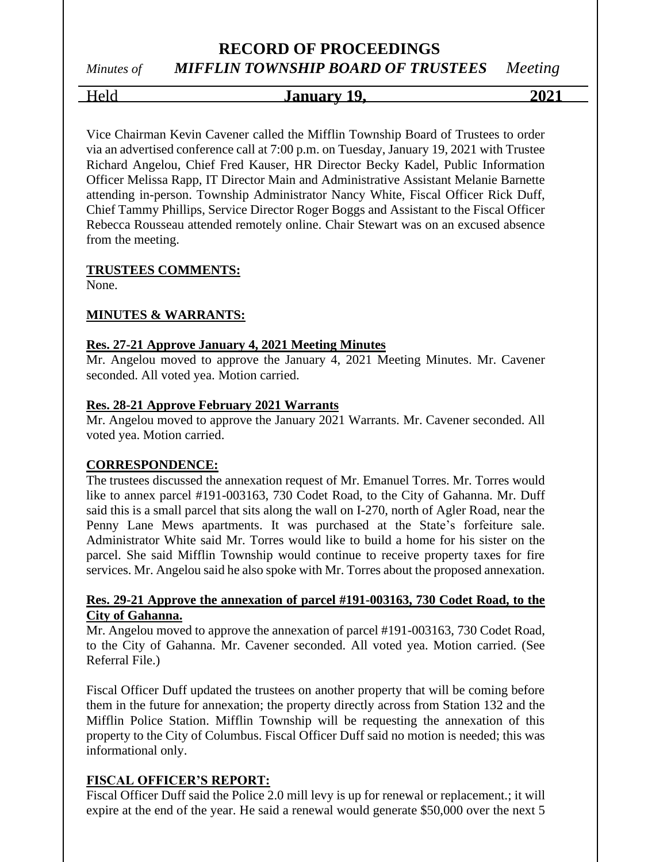# **RECORD OF PROCEEDINGS** *Minutes of MIFFLIN TOWNSHIP BOARD OF TRUSTEES Meeting*

# Held **January 19, 2021**

Vice Chairman Kevin Cavener called the Mifflin Township Board of Trustees to order via an advertised conference call at 7:00 p.m. on Tuesday, January 19, 2021 with Trustee Richard Angelou, Chief Fred Kauser, HR Director Becky Kadel, Public Information Officer Melissa Rapp, IT Director Main and Administrative Assistant Melanie Barnette attending in-person. Township Administrator Nancy White, Fiscal Officer Rick Duff, Chief Tammy Phillips, Service Director Roger Boggs and Assistant to the Fiscal Officer Rebecca Rousseau attended remotely online. Chair Stewart was on an excused absence from the meeting.

### **TRUSTEES COMMENTS:**

None.

### **MINUTES & WARRANTS:**

### **Res. 27-21 Approve January 4, 2021 Meeting Minutes**

Mr. Angelou moved to approve the January 4, 2021 Meeting Minutes. Mr. Cavener seconded. All voted yea. Motion carried.

### **Res. 28-21 Approve February 2021 Warrants**

Mr. Angelou moved to approve the January 2021 Warrants. Mr. Cavener seconded. All voted yea. Motion carried.

### **CORRESPONDENCE:**

The trustees discussed the annexation request of Mr. Emanuel Torres. Mr. Torres would like to annex parcel #191-003163, 730 Codet Road, to the City of Gahanna. Mr. Duff said this is a small parcel that sits along the wall on I-270, north of Agler Road, near the Penny Lane Mews apartments. It was purchased at the State's forfeiture sale. Administrator White said Mr. Torres would like to build a home for his sister on the parcel. She said Mifflin Township would continue to receive property taxes for fire services. Mr. Angelou said he also spoke with Mr. Torres about the proposed annexation.

### **Res. 29-21 Approve the annexation of parcel #191-003163, 730 Codet Road, to the City of Gahanna.**

Mr. Angelou moved to approve the annexation of parcel #191-003163, 730 Codet Road, to the City of Gahanna. Mr. Cavener seconded. All voted yea. Motion carried. (See Referral File.)

Fiscal Officer Duff updated the trustees on another property that will be coming before them in the future for annexation; the property directly across from Station 132 and the Mifflin Police Station. Mifflin Township will be requesting the annexation of this property to the City of Columbus. Fiscal Officer Duff said no motion is needed; this was informational only.

### **FISCAL OFFICER'S REPORT:**

Fiscal Officer Duff said the Police 2.0 mill levy is up for renewal or replacement.; it will expire at the end of the year. He said a renewal would generate \$50,000 over the next 5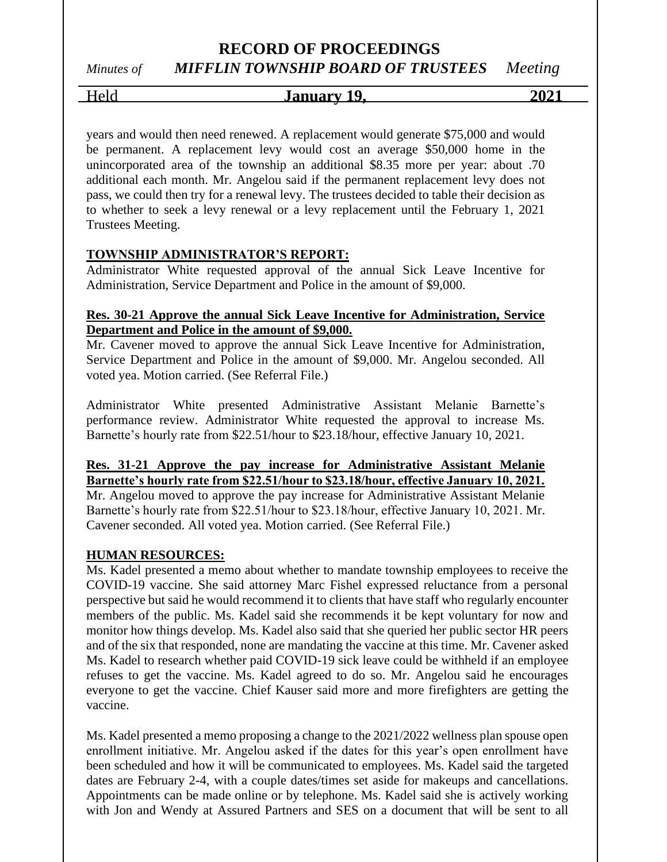### **RECORD OF PROCEEDINGS**

# *Minutes of MIFFLIN TOWNSHIP BOARD OF TRUSTEES Meeting*

# Held **January 19, 2021**

years and would then need renewed. A replacement would generate \$75,000 and would be permanent. A replacement levy would cost an average \$50,000 home in the unincorporated area of the township an additional \$8.35 more per year: about .70 additional each month. Mr. Angelou said if the permanent replacement levy does not pass, we could then try for a renewal levy. The trustees decided to table their decision as to whether to seek a levy renewal or a levy replacement until the February 1, 2021 Trustees Meeting.

### **TOWNSHIP ADMINISTRATOR'S REPORT:**

Administrator White requested approval of the annual Sick Leave Incentive for Administration, Service Department and Police in the amount of \$9,000.

### **Res. 30-21 Approve the annual Sick Leave Incentive for Administration, Service Department and Police in the amount of \$9,000.**

Mr. Cavener moved to approve the annual Sick Leave Incentive for Administration, Service Department and Police in the amount of \$9,000. Mr. Angelou seconded. All voted yea. Motion carried. (See Referral File.)

Administrator White presented Administrative Assistant Melanie Barnette's performance review. Administrator White requested the approval to increase Ms. Barnette's hourly rate from \$22.51/hour to \$23.18/hour, effective January 10, 2021.

### **Res. 31-21 Approve the pay increase for Administrative Assistant Melanie Barnette's hourly rate from \$22.51/hour to \$23.18/hour, effective January 10, 2021.**

Mr. Angelou moved to approve the pay increase for Administrative Assistant Melanie Barnette's hourly rate from \$22.51/hour to \$23.18/hour, effective January 10, 2021. Mr. Cavener seconded. All voted yea. Motion carried. (See Referral File.)

### **HUMAN RESOURCES:**

Ms. Kadel presented a memo about whether to mandate township employees to receive the COVID-19 vaccine. She said attorney Marc Fishel expressed reluctance from a personal perspective but said he would recommend it to clients that have staff who regularly encounter members of the public. Ms. Kadel said she recommends it be kept voluntary for now and monitor how things develop. Ms. Kadel also said that she queried her public sector HR peers and of the six that responded, none are mandating the vaccine at this time. Mr. Cavener asked Ms. Kadel to research whether paid COVID-19 sick leave could be withheld if an employee refuses to get the vaccine. Ms. Kadel agreed to do so. Mr. Angelou said he encourages everyone to get the vaccine. Chief Kauser said more and more firefighters are getting the vaccine.

Ms. Kadel presented a memo proposing a change to the 2021/2022 wellness plan spouse open enrollment initiative. Mr. Angelou asked if the dates for this year's open enrollment have been scheduled and how it will be communicated to employees. Ms. Kadel said the targeted dates are February 2-4, with a couple dates/times set aside for makeups and cancellations. Appointments can be made online or by telephone. Ms. Kadel said she is actively working with Jon and Wendy at Assured Partners and SES on a document that will be sent to all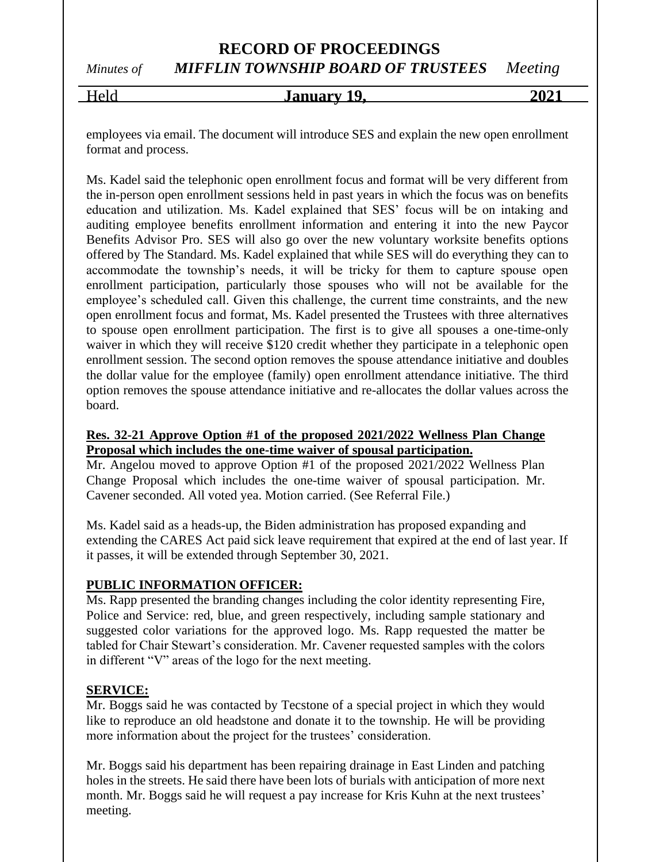# **RECORD OF PROCEEDINGS** *Minutes of MIFFLIN TOWNSHIP BOARD OF TRUSTEES Meeting*

# Held **January 19, 2021**

employees via email. The document will introduce SES and explain the new open enrollment format and process.

Ms. Kadel said the telephonic open enrollment focus and format will be very different from the in-person open enrollment sessions held in past years in which the focus was on benefits education and utilization. Ms. Kadel explained that SES' focus will be on intaking and auditing employee benefits enrollment information and entering it into the new Paycor Benefits Advisor Pro. SES will also go over the new voluntary worksite benefits options offered by The Standard. Ms. Kadel explained that while SES will do everything they can to accommodate the township's needs, it will be tricky for them to capture spouse open enrollment participation, particularly those spouses who will not be available for the employee's scheduled call. Given this challenge, the current time constraints, and the new open enrollment focus and format, Ms. Kadel presented the Trustees with three alternatives to spouse open enrollment participation. The first is to give all spouses a one-time-only waiver in which they will receive \$120 credit whether they participate in a telephonic open enrollment session. The second option removes the spouse attendance initiative and doubles the dollar value for the employee (family) open enrollment attendance initiative. The third option removes the spouse attendance initiative and re-allocates the dollar values across the board.

### **Res. 32-21 Approve Option #1 of the proposed 2021/2022 Wellness Plan Change Proposal which includes the one-time waiver of spousal participation.**

Mr. Angelou moved to approve Option #1 of the proposed 2021/2022 Wellness Plan Change Proposal which includes the one-time waiver of spousal participation. Mr. Cavener seconded. All voted yea. Motion carried. (See Referral File.)

Ms. Kadel said as a heads-up, the Biden administration has proposed expanding and extending the CARES Act paid sick leave requirement that expired at the end of last year. If it passes, it will be extended through September 30, 2021.

### **PUBLIC INFORMATION OFFICER:**

Ms. Rapp presented the branding changes including the color identity representing Fire, Police and Service: red, blue, and green respectively, including sample stationary and suggested color variations for the approved logo. Ms. Rapp requested the matter be tabled for Chair Stewart's consideration. Mr. Cavener requested samples with the colors in different "V" areas of the logo for the next meeting.

### **SERVICE:**

Mr. Boggs said he was contacted by Tecstone of a special project in which they would like to reproduce an old headstone and donate it to the township. He will be providing more information about the project for the trustees' consideration.

Mr. Boggs said his department has been repairing drainage in East Linden and patching holes in the streets. He said there have been lots of burials with anticipation of more next month. Mr. Boggs said he will request a pay increase for Kris Kuhn at the next trustees' meeting.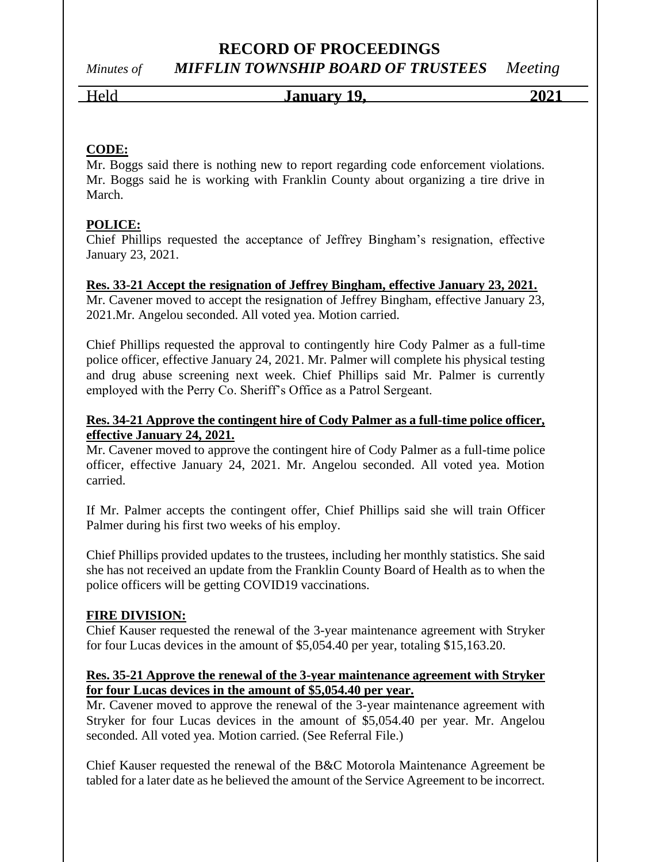# **RECORD OF PROCEEDINGS**

# *Minutes of MIFFLIN TOWNSHIP BOARD OF TRUSTEES Meeting*

Held **January 19, 2021**

### **CODE:**

Mr. Boggs said there is nothing new to report regarding code enforcement violations. Mr. Boggs said he is working with Franklin County about organizing a tire drive in March.

### **POLICE:**

Chief Phillips requested the acceptance of Jeffrey Bingham's resignation, effective January 23, 2021.

### **Res. 33-21 Accept the resignation of Jeffrey Bingham, effective January 23, 2021.**

Mr. Cavener moved to accept the resignation of Jeffrey Bingham, effective January 23, 2021.Mr. Angelou seconded. All voted yea. Motion carried.

Chief Phillips requested the approval to contingently hire Cody Palmer as a full-time police officer, effective January 24, 2021. Mr. Palmer will complete his physical testing and drug abuse screening next week. Chief Phillips said Mr. Palmer is currently employed with the Perry Co. Sheriff's Office as a Patrol Sergeant.

### **Res. 34-21 Approve the contingent hire of Cody Palmer as a full-time police officer, effective January 24, 2021.**

Mr. Cavener moved to approve the contingent hire of Cody Palmer as a full-time police officer, effective January 24, 2021. Mr. Angelou seconded. All voted yea. Motion carried.

If Mr. Palmer accepts the contingent offer, Chief Phillips said she will train Officer Palmer during his first two weeks of his employ.

Chief Phillips provided updates to the trustees, including her monthly statistics. She said she has not received an update from the Franklin County Board of Health as to when the police officers will be getting COVID19 vaccinations.

### **FIRE DIVISION:**

Chief Kauser requested the renewal of the 3-year maintenance agreement with Stryker for four Lucas devices in the amount of \$5,054.40 per year, totaling \$15,163.20.

### **Res. 35-21 Approve the renewal of the 3-year maintenance agreement with Stryker for four Lucas devices in the amount of \$5,054.40 per year.**

Mr. Cavener moved to approve the renewal of the 3-year maintenance agreement with Stryker for four Lucas devices in the amount of \$5,054.40 per year. Mr. Angelou seconded. All voted yea. Motion carried. (See Referral File.)

Chief Kauser requested the renewal of the B&C Motorola Maintenance Agreement be tabled for a later date as he believed the amount of the Service Agreement to be incorrect.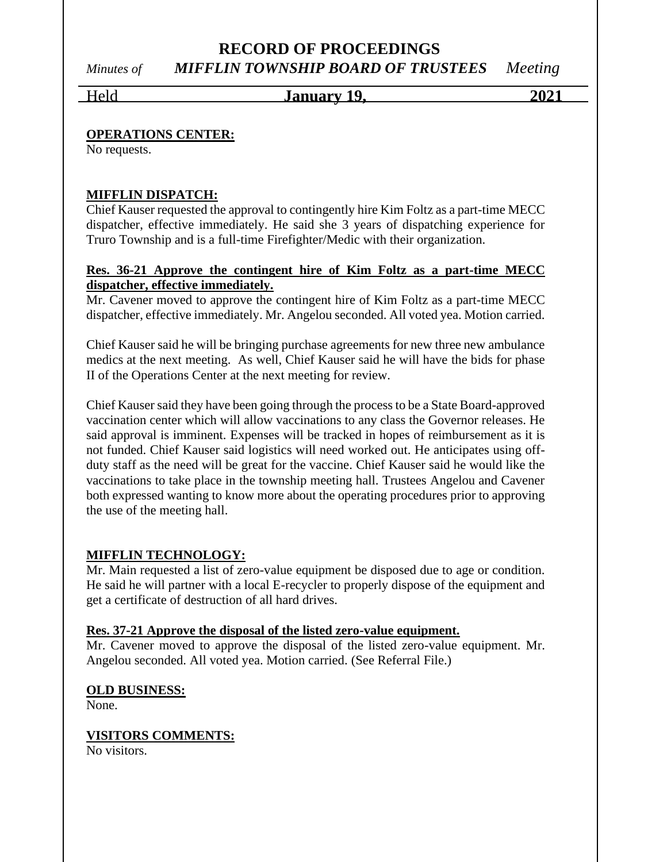# **RECORD OF PROCEEDINGS** *Minutes of MIFFLIN TOWNSHIP BOARD OF TRUSTEES Meeting*

Held **January 19, 2021**

### **OPERATIONS CENTER:**

No requests.

### **MIFFLIN DISPATCH:**

Chief Kauser requested the approval to contingently hire Kim Foltz as a part-time MECC dispatcher, effective immediately. He said she 3 years of dispatching experience for Truro Township and is a full-time Firefighter/Medic with their organization.

### **Res. 36-21 Approve the contingent hire of Kim Foltz as a part-time MECC dispatcher, effective immediately.**

Mr. Cavener moved to approve the contingent hire of Kim Foltz as a part-time MECC dispatcher, effective immediately. Mr. Angelou seconded. All voted yea. Motion carried.

Chief Kauser said he will be bringing purchase agreements for new three new ambulance medics at the next meeting. As well, Chief Kauser said he will have the bids for phase II of the Operations Center at the next meeting for review.

Chief Kauser said they have been going through the process to be a State Board-approved vaccination center which will allow vaccinations to any class the Governor releases. He said approval is imminent. Expenses will be tracked in hopes of reimbursement as it is not funded. Chief Kauser said logistics will need worked out. He anticipates using offduty staff as the need will be great for the vaccine. Chief Kauser said he would like the vaccinations to take place in the township meeting hall. Trustees Angelou and Cavener both expressed wanting to know more about the operating procedures prior to approving the use of the meeting hall.

### **MIFFLIN TECHNOLOGY:**

Mr. Main requested a list of zero-value equipment be disposed due to age or condition. He said he will partner with a local E-recycler to properly dispose of the equipment and get a certificate of destruction of all hard drives.

### **Res. 37-21 Approve the disposal of the listed zero-value equipment.**

Mr. Cavener moved to approve the disposal of the listed zero-value equipment. Mr. Angelou seconded. All voted yea. Motion carried. (See Referral File.)

### **OLD BUSINESS:**

None.

### **VISITORS COMMENTS:**

No visitors.